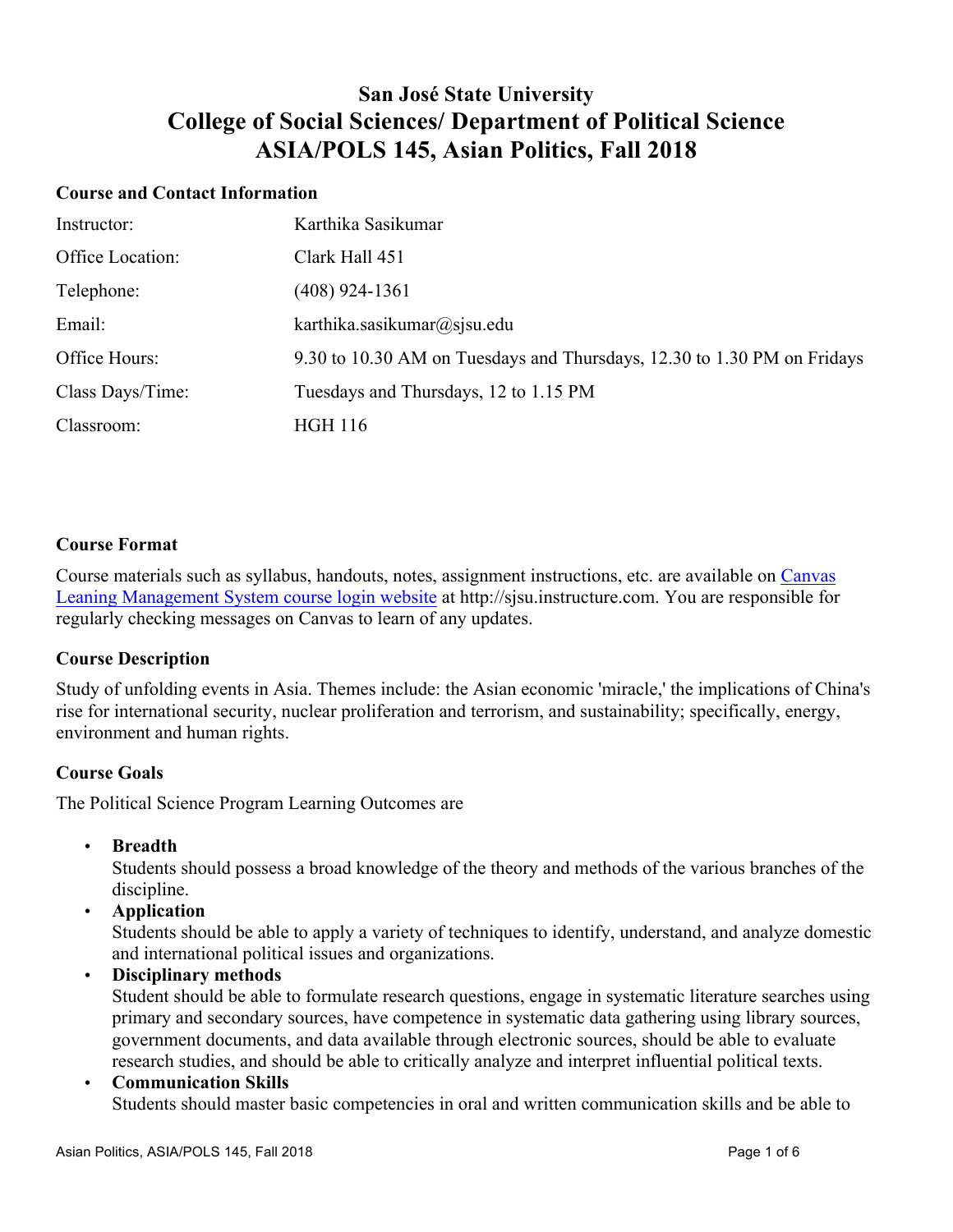## **San José State University College of Social Sciences/ Department of Political Science ASIA/POLS 145, Asian Politics, Fall 2018**

#### **Course and Contact Information**

| Instructor:      | Karthika Sasikumar                                                      |
|------------------|-------------------------------------------------------------------------|
| Office Location: | Clark Hall 451                                                          |
| Telephone:       | $(408)$ 924-1361                                                        |
| Email:           | karthika.sasikumar@sjsu.edu                                             |
| Office Hours:    | 9.30 to 10.30 AM on Tuesdays and Thursdays, 12.30 to 1.30 PM on Fridays |
| Class Days/Time: | Tuesdays and Thursdays, 12 to 1.15 PM                                   |
| Classroom:       | <b>HGH 116</b>                                                          |

## **Course Format**

Course materials such as syllabus, handouts, notes, assignment instructions, etc. are available on Canvas Leaning Management System course login website at http://sjsu.instructure.com. You are responsible for regularly checking messages on Canvas to learn of any updates.

## **Course Description**

Study of unfolding events in Asia. Themes include: the Asian economic 'miracle,' the implications of China's rise for international security, nuclear proliferation and terrorism, and sustainability; specifically, energy, environment and human rights.

## **Course Goals**

The Political Science Program Learning Outcomes are

• **Breadth**

Students should possess a broad knowledge of the theory and methods of the various branches of the discipline.

• **Application**

Students should be able to apply a variety of techniques to identify, understand, and analyze domestic and international political issues and organizations.

• **Disciplinary methods**

Student should be able to formulate research questions, engage in systematic literature searches using primary and secondary sources, have competence in systematic data gathering using library sources, government documents, and data available through electronic sources, should be able to evaluate research studies, and should be able to critically analyze and interpret influential political texts.

#### • **Communication Skills**

Students should master basic competencies in oral and written communication skills and be able to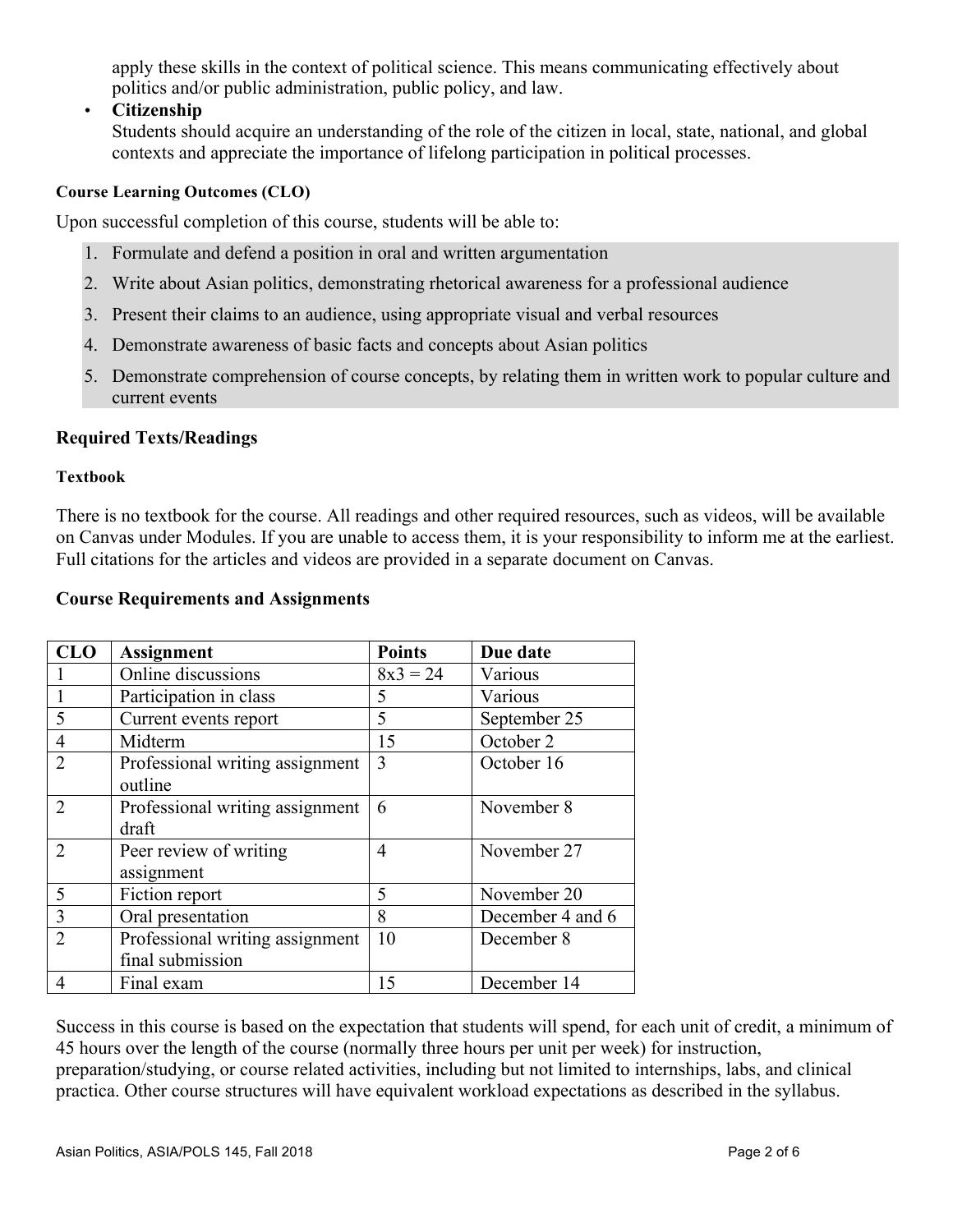apply these skills in the context of political science. This means communicating effectively about politics and/or public administration, public policy, and law.

• **Citizenship**

Students should acquire an understanding of the role of the citizen in local, state, national, and global contexts and appreciate the importance of lifelong participation in political processes.

#### **Course Learning Outcomes (CLO)**

Upon successful completion of this course, students will be able to:

- 1. Formulate and defend a position in oral and written argumentation
- 2. Write about Asian politics, demonstrating rhetorical awareness for a professional audience
- 3. Present their claims to an audience, using appropriate visual and verbal resources
- 4. Demonstrate awareness of basic facts and concepts about Asian politics
- 5. Demonstrate comprehension of course concepts, by relating them in written work to popular culture and current events

## **Required Texts/Readings**

#### **Textbook**

There is no textbook for the course. All readings and other required resources, such as videos, will be available on Canvas under Modules. If you are unable to access them, it is your responsibility to inform me at the earliest. Full citations for the articles and videos are provided in a separate document on Canvas.

#### **Course Requirements and Assignments**

| <b>CLO</b>     | <b>Assignment</b>               | <b>Points</b> | Due date         |
|----------------|---------------------------------|---------------|------------------|
|                | Online discussions              | $8x3 = 24$    | Various          |
|                | Participation in class          | 5             | Various          |
| 5              | Current events report           | 5             | September 25     |
| 4              | Midterm                         | 15            | October 2        |
| $\overline{2}$ | Professional writing assignment | 3             | October 16       |
|                | outline                         |               |                  |
| $\overline{2}$ | Professional writing assignment | 6             | November 8       |
|                | draft                           |               |                  |
| 2              | Peer review of writing          | 4             | November 27      |
|                | assignment                      |               |                  |
| 5              | Fiction report                  | 5             | November 20      |
| $\mathcal{E}$  | Oral presentation               | 8             | December 4 and 6 |
| $\overline{2}$ | Professional writing assignment | 10            | December 8       |
|                | final submission                |               |                  |
| 4              | Final exam                      | 15            | December 14      |

Success in this course is based on the expectation that students will spend, for each unit of credit, a minimum of 45 hours over the length of the course (normally three hours per unit per week) for instruction, preparation/studying, or course related activities, including but not limited to internships, labs, and clinical practica. Other course structures will have equivalent workload expectations as described in the syllabus.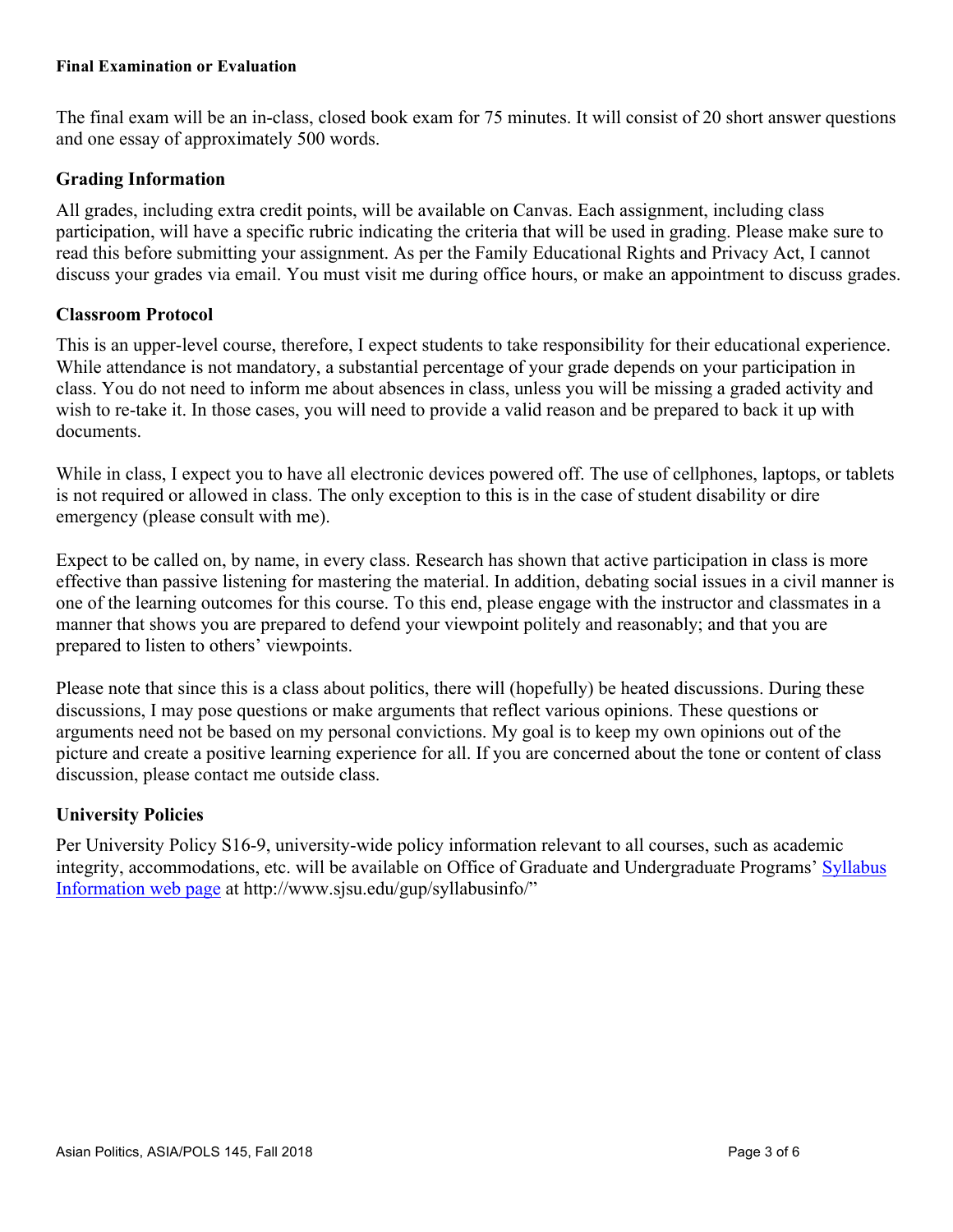#### **Final Examination or Evaluation**

The final exam will be an in-class, closed book exam for 75 minutes. It will consist of 20 short answer questions and one essay of approximately 500 words.

## **Grading Information**

All grades, including extra credit points, will be available on Canvas. Each assignment, including class participation, will have a specific rubric indicating the criteria that will be used in grading. Please make sure to read this before submitting your assignment. As per the Family Educational Rights and Privacy Act, I cannot discuss your grades via email. You must visit me during office hours, or make an appointment to discuss grades.

## **Classroom Protocol**

This is an upper-level course, therefore, I expect students to take responsibility for their educational experience. While attendance is not mandatory, a substantial percentage of your grade depends on your participation in class. You do not need to inform me about absences in class, unless you will be missing a graded activity and wish to re-take it. In those cases, you will need to provide a valid reason and be prepared to back it up with documents.

While in class, I expect you to have all electronic devices powered off. The use of cellphones, laptops, or tablets is not required or allowed in class. The only exception to this is in the case of student disability or dire emergency (please consult with me).

Expect to be called on, by name, in every class. Research has shown that active participation in class is more effective than passive listening for mastering the material. In addition, debating social issues in a civil manner is one of the learning outcomes for this course. To this end, please engage with the instructor and classmates in a manner that shows you are prepared to defend your viewpoint politely and reasonably; and that you are prepared to listen to others' viewpoints.

Please note that since this is a class about politics, there will (hopefully) be heated discussions. During these discussions, I may pose questions or make arguments that reflect various opinions. These questions or arguments need not be based on my personal convictions. My goal is to keep my own opinions out of the picture and create a positive learning experience for all. If you are concerned about the tone or content of class discussion, please contact me outside class.

## **University Policies**

Per University Policy S16-9, university-wide policy information relevant to all courses, such as academic integrity, accommodations, etc. will be available on Office of Graduate and Undergraduate Programs' Syllabus Information web page at http://www.sjsu.edu/gup/syllabusinfo/"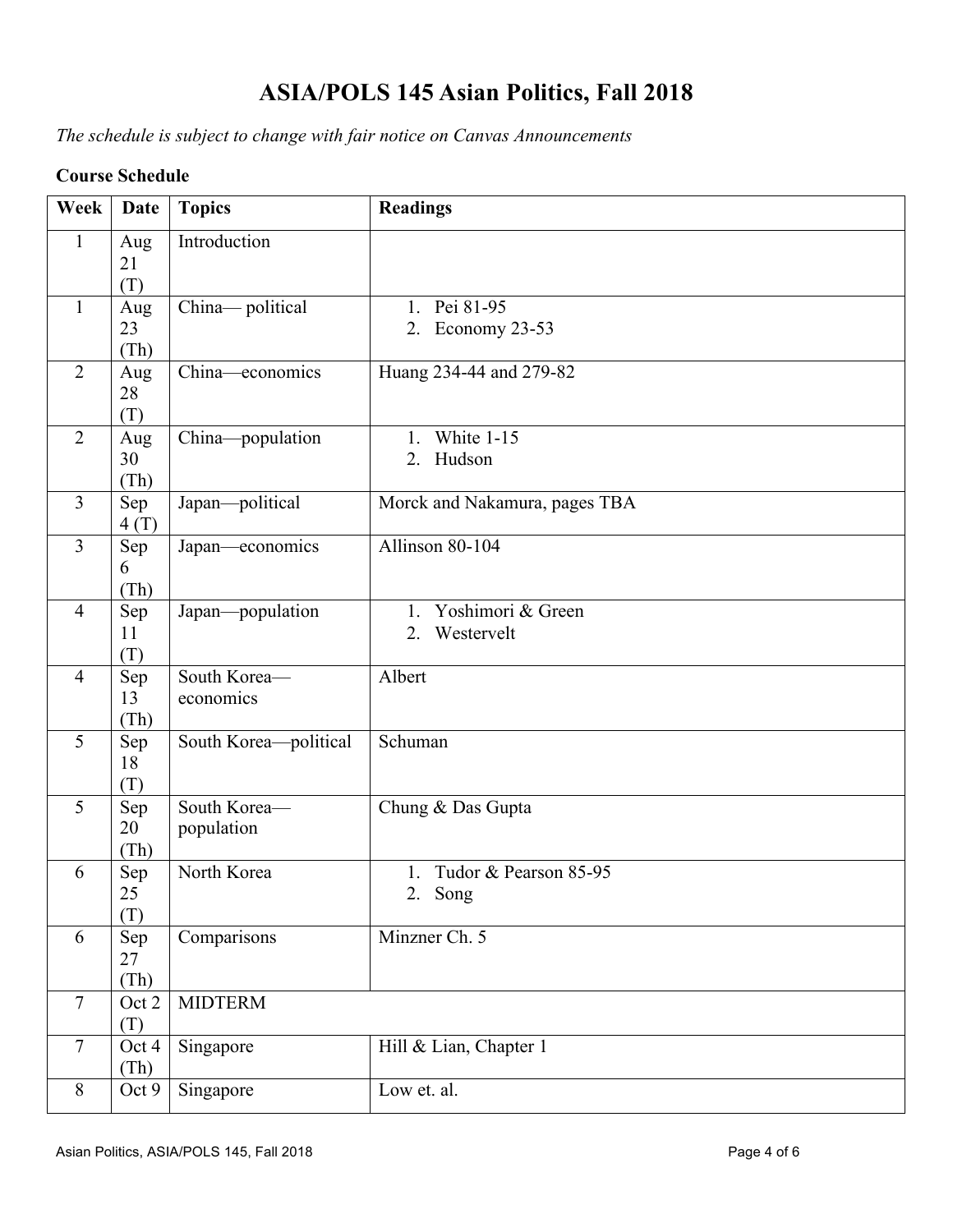# **ASIA/POLS 145 Asian Politics, Fall 2018**

*The schedule is subject to change with fair notice on Canvas Announcements*

## **Course Schedule**

| Week           | <b>Date</b>       | <b>Topics</b>              | <b>Readings</b>                        |
|----------------|-------------------|----------------------------|----------------------------------------|
| $\mathbf{1}$   | Aug<br>21<br>(T)  | Introduction               |                                        |
| $\mathbf{1}$   | Aug<br>23<br>(Th) | China-political            | 1. Pei 81-95<br>2. Economy 23-53       |
| $\overline{2}$ | Aug<br>28<br>(T)  | China-economics            | Huang 234-44 and 279-82                |
| $\overline{2}$ | Aug<br>30<br>(Th) | China-population           | White 1-15<br>$1_{\cdot}$<br>2. Hudson |
| $\overline{3}$ | Sep<br>4(T)       | Japan-political            | Morck and Nakamura, pages TBA          |
| $\overline{3}$ | Sep<br>6<br>(Th)  | Japan—economics            | Allinson 80-104                        |
| $\overline{4}$ | Sep<br>11<br>(T)  | Japan-population           | 1. Yoshimori & Green<br>2. Westervelt  |
| $\overline{4}$ | Sep<br>13<br>(Th) | South Korea-<br>economics  | Albert                                 |
| 5              | Sep<br>18<br>(T)  | South Korea-political      | Schuman                                |
| 5              | Sep<br>20<br>(Th) | South Korea-<br>population | Chung & Das Gupta                      |
| 6              | Sep<br>25<br>(T)  | North Korea                | 1. Tudor & Pearson 85-95<br>2. Song    |
| 6              | Sep<br>27<br>(Th) | Comparisons                | Minzner Ch. 5                          |
| $\overline{7}$ | Oct 2<br>(T)      | <b>MIDTERM</b>             |                                        |
| $\tau$         | Oct 4<br>(Th)     | Singapore                  | Hill & Lian, Chapter 1                 |
| 8              | Oct 9             | Singapore                  | Low et. al.                            |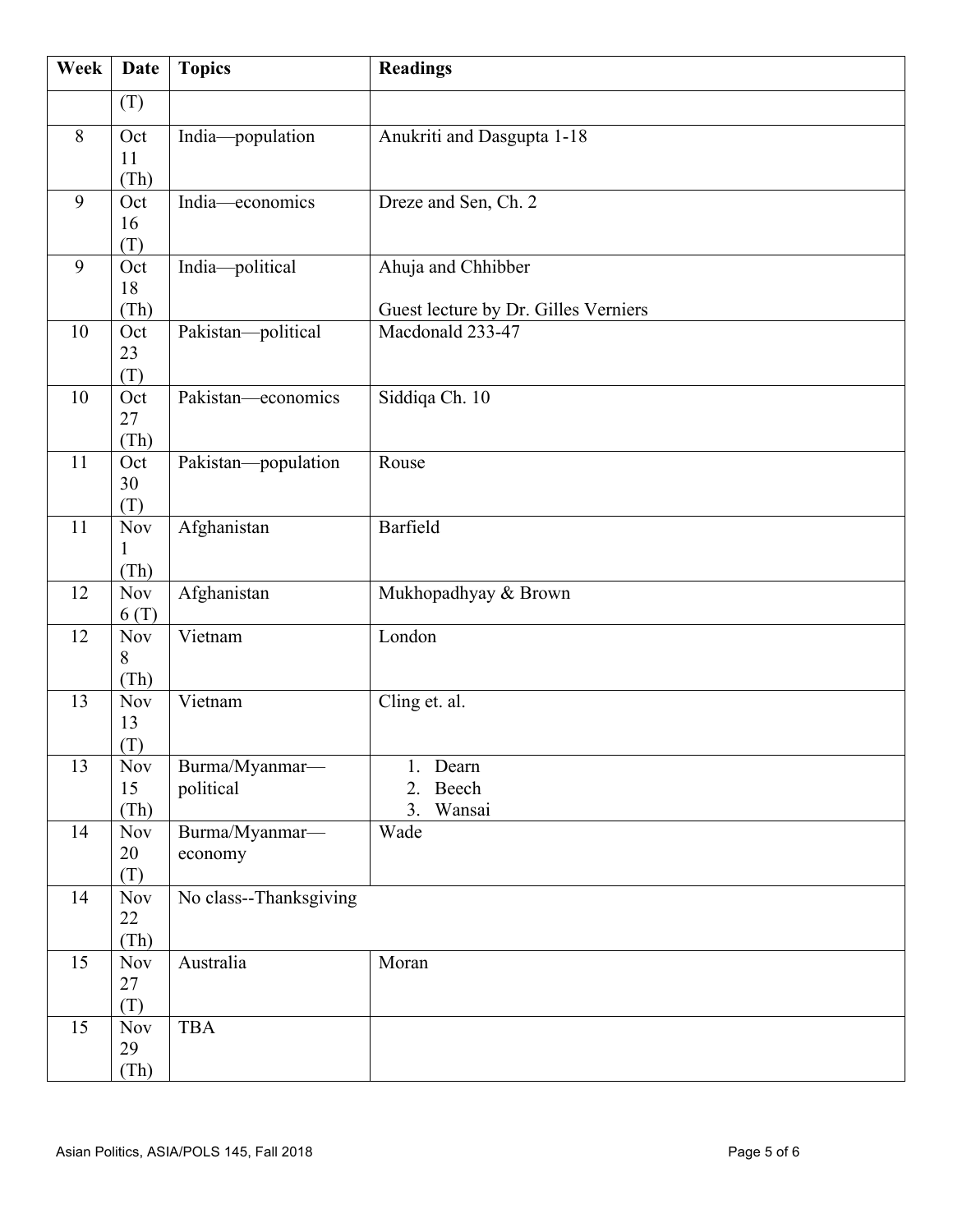| Week | Date                 | <b>Topics</b>          | <b>Readings</b>                      |
|------|----------------------|------------------------|--------------------------------------|
|      | (T)                  |                        |                                      |
| 8    | Oct                  | India-population       | Anukriti and Dasgupta 1-18           |
|      | 11                   |                        |                                      |
| 9    | (Th)<br>Oct          | India-economics        | Dreze and Sen, Ch. 2                 |
|      | 16                   |                        |                                      |
|      | (T)                  |                        |                                      |
| 9    | Oct                  | India-political        | Ahuja and Chhibber                   |
|      | 18<br>(Th)           |                        | Guest lecture by Dr. Gilles Verniers |
| 10   | Oct                  | Pakistan-political     | Macdonald 233-47                     |
|      | 23                   |                        |                                      |
| 10   | (T)<br>Oct           | Pakistan-economics     |                                      |
|      | 27                   |                        | Siddiqa Ch. 10                       |
|      | (Th)                 |                        |                                      |
| 11   | Oct                  | Pakistan-population    | Rouse                                |
|      | 30<br>(T)            |                        |                                      |
| 11   | $\operatorname{Nov}$ | Afghanistan            | Barfield                             |
|      |                      |                        |                                      |
|      | (Th)                 |                        |                                      |
| 12   | <b>Nov</b><br>6(T)   | Afghanistan            | Mukhopadhyay & Brown                 |
| 12   | <b>Nov</b>           | Vietnam                | London                               |
|      | 8                    |                        |                                      |
| 13   | (Th)<br><b>Nov</b>   | Vietnam                | Cling et. al.                        |
|      | 13                   |                        |                                      |
|      | (T)                  |                        |                                      |
| 13   | <b>Nov</b>           | Burma/Myanmar-         | 1. Dearn                             |
|      | 15<br>(Th)           | political              | 2.<br>Beech<br>3.<br>Wansai          |
| 14   | <b>Nov</b>           | Burma/Myanmar-         | Wade                                 |
|      | 20                   | economy                |                                      |
|      | (T)                  |                        |                                      |
| 14   | <b>Nov</b><br>22     | No class--Thanksgiving |                                      |
|      | (Th)                 |                        |                                      |
| 15   | <b>Nov</b>           | Australia              | Moran                                |
|      | 27                   |                        |                                      |
| 15   | (T)<br><b>Nov</b>    | <b>TBA</b>             |                                      |
|      | 29                   |                        |                                      |
|      | (Th)                 |                        |                                      |